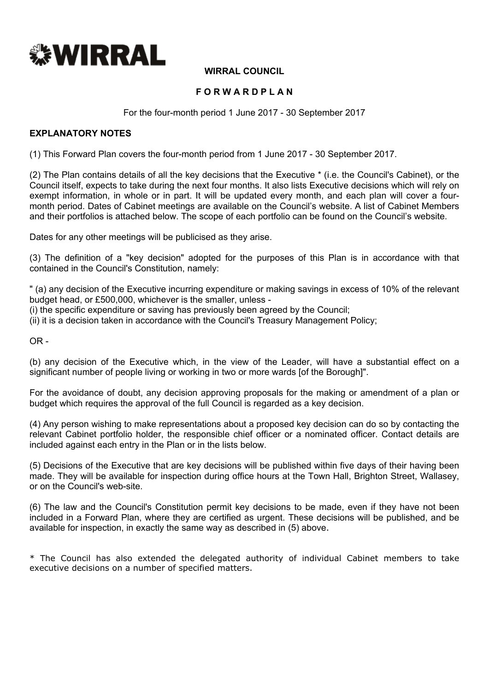

#### **WIRRAL COUNCIL**

#### **F O R W A R D P L A N**

For the four-month period 1 June 2017 - 30 September 2017

#### **EXPLANATORY NOTES**

(1) This Forward Plan covers the four-month period from 1 June 2017 - 30 September 2017.

(2) The Plan contains details of all the key decisions that the Executive \* (i.e. the Council's Cabinet), or the Council itself, expects to take during the next four months. It also lists Executive decisions which will rely on exempt information, in whole or in part. It will be updated every month, and each plan will cover a fourmonth period. Dates of Cabinet meetings are available on the Council's website. A list of Cabinet Members and their portfolios is attached below. The scope of each portfolio can be found on the Council's website.

Dates for any other meetings will be publicised as they arise.

(3) The definition of a "key decision" adopted for the purposes of this Plan is in accordance with that contained in the Council's Constitution, namely:

" (a) any decision of the Executive incurring expenditure or making savings in excess of 10% of the relevant budget head, or £500,000, whichever is the smaller, unless -

(i) the specific expenditure or saving has previously been agreed by the Council;

(ii) it is a decision taken in accordance with the Council's Treasury Management Policy;

 $OR -$ 

(b) any decision of the Executive which, in the view of the Leader, will have a substantial effect on a significant number of people living or working in two or more wards [of the Borough]".

For the avoidance of doubt, any decision approving proposals for the making or amendment of a plan or budget which requires the approval of the full Council is regarded as a key decision.

(4) Any person wishing to make representations about a proposed key decision can do so by contacting the relevant Cabinet portfolio holder, the responsible chief officer or a nominated officer. Contact details are included against each entry in the Plan or in the lists below.

(5) Decisions of the Executive that are key decisions will be published within five days of their having been made. They will be available for inspection during office hours at the Town Hall, Brighton Street, Wallasey, or on the Council's web-site.

(6) The law and the Council's Constitution permit key decisions to be made, even if they have not been included in a Forward Plan, where they are certified as urgent. These decisions will be published, and be available for inspection, in exactly the same way as described in (5) above.

\* The Council has also extended the delegated authority of individual Cabinet members to take executive decisions on a number of specified matters.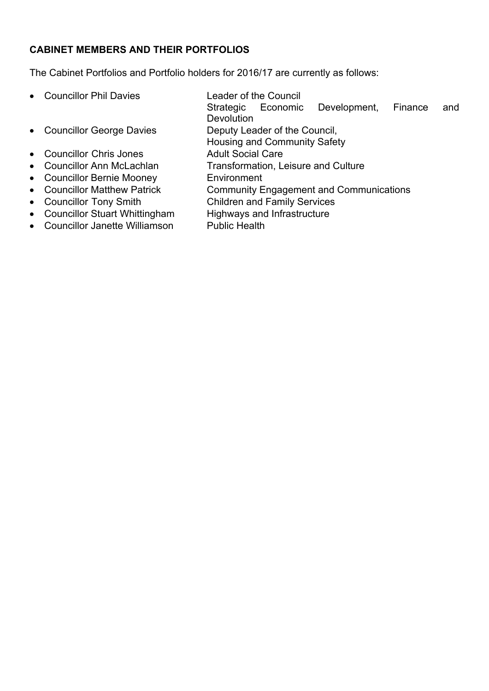# **CABINET MEMBERS AND THEIR PORTFOLIOS**

The Cabinet Portfolios and Portfolio holders for 2016/17 are currently as follows:

- Councillor Phil Davies Leader of the Council
- Councillor George Davies Deputy Leader of the Council,
- Councillor Chris Jones Adult Social Care
- 
- Councillor Bernie Mooney **Environment**
- 
- 
- Councillor Stuart Whittingham Highways and Infrastructure
- Councillor Janette Williamson Public Health
- - Strategic Economic Development, Finance and **Devolution**
	-
	- Housing and Community Safety
	-
- Councillor Ann McLachlan Transformation, Leisure and Culture
	-
- Councillor Matthew Patrick Community Engagement and Communications
- Councillor Tony Smith Children and Family Services
	-
	-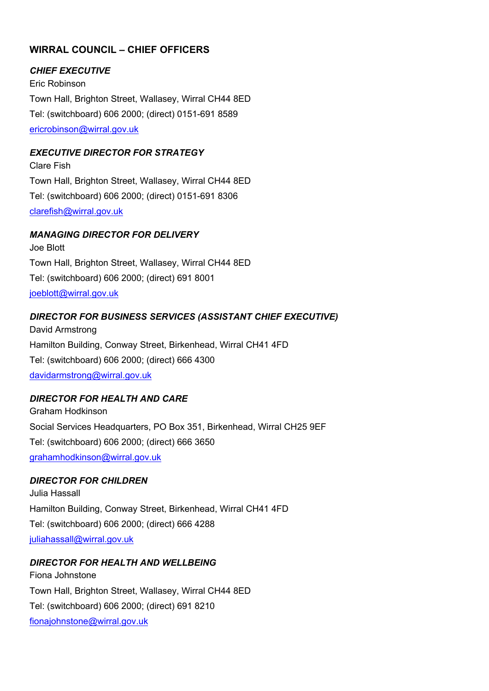# **WIRRAL COUNCIL – CHIEF OFFICERS**

#### *CHIEF EXECUTIVE*

Eric Robinson Town Hall, Brighton Street, Wallasey, Wirral CH44 8ED Tel: (switchboard) 606 2000; (direct) 0151-691 8589 [ericrobinson@wirral.gov.uk](mailto:ericrobinson@wirral.gov.uk)

#### *EXECUTIVE DIRECTOR FOR STRATEGY*

Clare Fish Town Hall, Brighton Street, Wallasey, Wirral CH44 8ED Tel: (switchboard) 606 2000; (direct) 0151-691 8306 [clarefish@wirral.gov.uk](mailto:clarefish@wirral.gov.uk)

#### *MANAGING DIRECTOR FOR DELIVERY*

Joe Blott Town Hall, Brighton Street, Wallasey, Wirral CH44 8ED Tel: (switchboard) 606 2000; (direct) 691 8001 [joeblott@wirral.gov.uk](mailto:joeblott@wirral.gov.uk)

#### *DIRECTOR FOR BUSINESS SERVICES (ASSISTANT CHIEF EXECUTIVE)*

David Armstrong Hamilton Building, Conway Street, Birkenhead, Wirral CH41 4FD Tel: (switchboard) 606 2000; (direct) 666 4300 [davidarmstrong@wirral.gov.uk](mailto:davidarmstrong@wirral.gov.uk)

#### *DIRECTOR FOR HEALTH AND CARE*

Graham Hodkinson Social Services Headquarters, PO Box 351, Birkenhead, Wirral CH25 9EF Tel: (switchboard) 606 2000; (direct) 666 3650 [grahamhodkinson@wirral.gov.uk](mailto:grahamhodkinson@wirral.gov.uk)

#### *DIRECTOR FOR CHILDREN*

Julia Hassall Hamilton Building, Conway Street, Birkenhead, Wirral CH41 4FD Tel: (switchboard) 606 2000; (direct) 666 4288 [juliahassall@wirral.gov.uk](mailto:juliahassall@wirral.gov.uk)

#### *DIRECTOR FOR HEALTH AND WELLBEING*

Fiona Johnstone Town Hall, Brighton Street, Wallasey, Wirral CH44 8ED Tel: (switchboard) 606 2000; (direct) 691 8210 [fionajohnstone@wirral.gov.uk](mailto:fiona.johnstone@wirral.nhs.uk)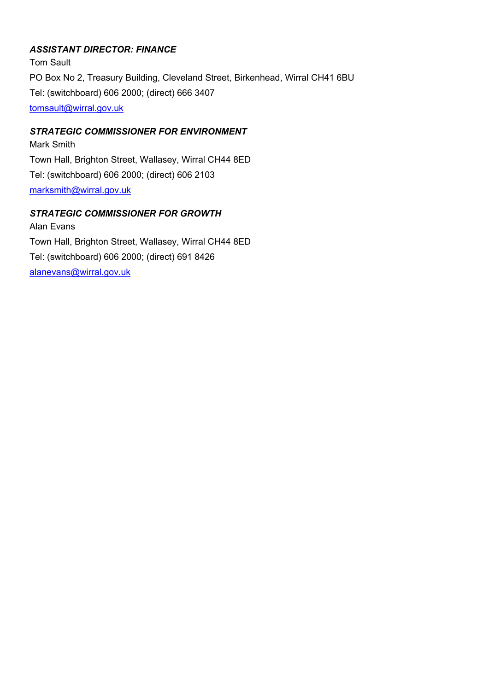### *ASSISTANT DIRECTOR: FINANCE*

Tom Sault PO Box No 2, Treasury Building, Cleveland Street, Birkenhead, Wirral CH41 6BU Tel: (switchboard) 606 2000; (direct) 666 3407 [tomsault@wirral.gov.uk](mailto:viviennequayle@wirral.gov.uk)

### *STRATEGIC COMMISSIONER FOR ENVIRONMENT*

Mark Smith Town Hall, Brighton Street, Wallasey, Wirral CH44 8ED Tel: (switchboard) 606 2000; (direct) 606 2103 [marksmith@wirral.gov.uk](mailto:marksmith@wirral.gov.uk)

### *STRATEGIC COMMISSIONER FOR GROWTH*

Alan Evans Town Hall, Brighton Street, Wallasey, Wirral CH44 8ED Tel: (switchboard) 606 2000; (direct) 691 8426 [alanevans@wirral.gov.uk](mailto:alanevans@wirral.gov.uk)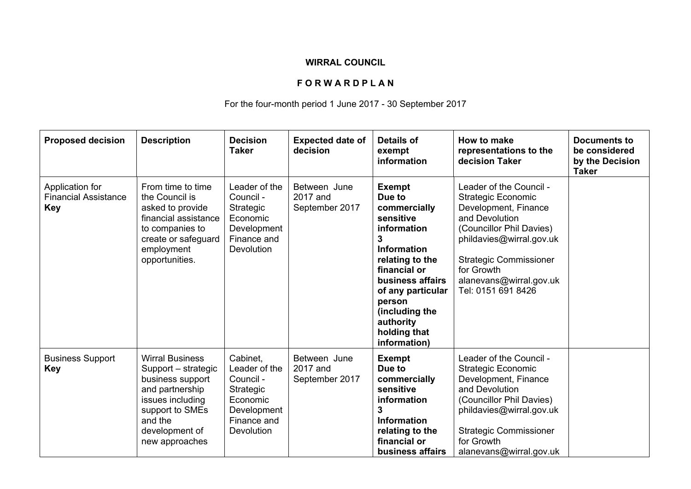## **WIRRAL COUNCIL**

### **F O R W A R D P L A N**

## For the four-month period 1 June 2017 - 30 September 2017

| <b>Proposed decision</b>                                     | <b>Description</b>                                                                                                                                                         | <b>Decision</b><br><b>Taker</b>                                                                             | <b>Expected date of</b><br>decision        | <b>Details of</b><br>exempt<br>information                                                                                                                                                                                                          | How to make<br>representations to the<br>decision Taker                                                                                                                                                                                                | <b>Documents to</b><br>be considered<br>by the Decision<br><b>Taker</b> |
|--------------------------------------------------------------|----------------------------------------------------------------------------------------------------------------------------------------------------------------------------|-------------------------------------------------------------------------------------------------------------|--------------------------------------------|-----------------------------------------------------------------------------------------------------------------------------------------------------------------------------------------------------------------------------------------------------|--------------------------------------------------------------------------------------------------------------------------------------------------------------------------------------------------------------------------------------------------------|-------------------------------------------------------------------------|
| Application for<br><b>Financial Assistance</b><br><b>Key</b> | From time to time<br>the Council is<br>asked to provide<br>financial assistance<br>to companies to<br>create or safeguard<br>employment<br>opportunities.                  | Leader of the<br>Council -<br>Strategic<br>Economic<br>Development<br>Finance and<br>Devolution             | Between June<br>2017 and<br>September 2017 | <b>Exempt</b><br>Due to<br>commercially<br>sensitive<br>information<br>3<br><b>Information</b><br>relating to the<br>financial or<br>business affairs<br>of any particular<br>person<br>(including the<br>authority<br>holding that<br>information) | Leader of the Council -<br><b>Strategic Economic</b><br>Development, Finance<br>and Devolution<br>(Councillor Phil Davies)<br>phildavies@wirral.gov.uk<br><b>Strategic Commissioner</b><br>for Growth<br>alanevans@wirral.gov.uk<br>Tel: 0151 691 8426 |                                                                         |
| <b>Business Support</b><br><b>Key</b>                        | <b>Wirral Business</b><br>Support – strategic<br>business support<br>and partnership<br>issues including<br>support to SMEs<br>and the<br>development of<br>new approaches | Cabinet.<br>Leader of the<br>Council -<br>Strategic<br>Economic<br>Development<br>Finance and<br>Devolution | Between June<br>2017 and<br>September 2017 | <b>Exempt</b><br>Due to<br>commercially<br>sensitive<br>information<br>3<br><b>Information</b><br>relating to the<br>financial or<br>business affairs                                                                                               | Leader of the Council -<br><b>Strategic Economic</b><br>Development, Finance<br>and Devolution<br>(Councillor Phil Davies)<br>phildavies@wirral.gov.uk<br><b>Strategic Commissioner</b><br>for Growth<br>alanevans@wirral.gov.uk                       |                                                                         |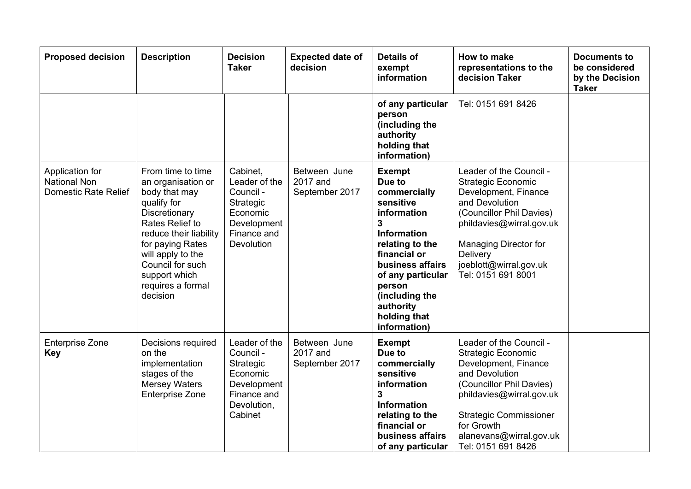| <b>Proposed decision</b>                                              | <b>Description</b>                                                                                                                                                                                                                                   | <b>Decision</b><br><b>Taker</b>                                                                             | <b>Expected date of</b><br>decision        | <b>Details of</b><br>exempt<br>information                                                                                                                                                                                                              | How to make<br>representations to the<br>decision Taker                                                                                                                                                                                                | <b>Documents to</b><br>be considered<br>by the Decision<br><b>Taker</b> |
|-----------------------------------------------------------------------|------------------------------------------------------------------------------------------------------------------------------------------------------------------------------------------------------------------------------------------------------|-------------------------------------------------------------------------------------------------------------|--------------------------------------------|---------------------------------------------------------------------------------------------------------------------------------------------------------------------------------------------------------------------------------------------------------|--------------------------------------------------------------------------------------------------------------------------------------------------------------------------------------------------------------------------------------------------------|-------------------------------------------------------------------------|
|                                                                       |                                                                                                                                                                                                                                                      |                                                                                                             |                                            | of any particular<br>person<br>(including the<br>authority<br>holding that<br>information)                                                                                                                                                              | Tel: 0151 691 8426                                                                                                                                                                                                                                     |                                                                         |
| Application for<br><b>National Non</b><br><b>Domestic Rate Relief</b> | From time to time<br>an organisation or<br>body that may<br>qualify for<br>Discretionary<br>Rates Relief to<br>reduce their liability<br>for paying Rates<br>will apply to the<br>Council for such<br>support which<br>requires a formal<br>decision | Cabinet,<br>Leader of the<br>Council -<br>Strategic<br>Economic<br>Development<br>Finance and<br>Devolution | Between June<br>2017 and<br>September 2017 | <b>Exempt</b><br>Due to<br>commercially<br>sensitive<br>information<br>$\mathbf{3}$<br>Information<br>relating to the<br>financial or<br>business affairs<br>of any particular<br>person<br>(including the<br>authority<br>holding that<br>information) | Leader of the Council -<br><b>Strategic Economic</b><br>Development, Finance<br>and Devolution<br>(Councillor Phil Davies)<br>phildavies@wirral.gov.uk<br>Managing Director for<br>Delivery<br>joeblott@wirral.gov.uk<br>Tel: 0151 691 8001            |                                                                         |
| <b>Enterprise Zone</b><br><b>Key</b>                                  | Decisions required<br>on the<br>implementation<br>stages of the<br><b>Mersey Waters</b><br><b>Enterprise Zone</b>                                                                                                                                    | Leader of the<br>Council -<br>Strategic<br>Economic<br>Development<br>Finance and<br>Devolution,<br>Cabinet | Between June<br>2017 and<br>September 2017 | <b>Exempt</b><br>Due to<br>commercially<br>sensitive<br>information<br>3<br><b>Information</b><br>relating to the<br>financial or<br>business affairs<br>of any particular                                                                              | Leader of the Council -<br><b>Strategic Economic</b><br>Development, Finance<br>and Devolution<br>(Councillor Phil Davies)<br>phildavies@wirral.gov.uk<br><b>Strategic Commissioner</b><br>for Growth<br>alanevans@wirral.gov.uk<br>Tel: 0151 691 8426 |                                                                         |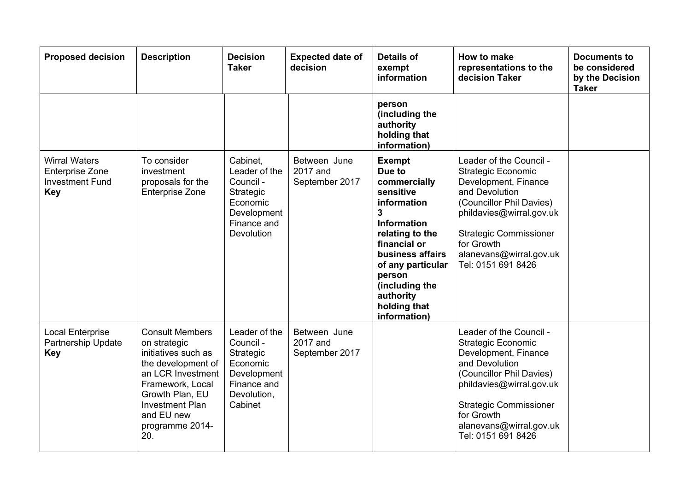| <b>Proposed decision</b>                                                        | <b>Description</b>                                                                                                                                                                                                | <b>Decision</b><br><b>Taker</b>                                                                             | <b>Expected date of</b><br>decision        | <b>Details of</b><br>exempt<br>information                                                                                                                                                                                                                                | How to make<br>representations to the<br>decision Taker                                                                                                                                                                                                | <b>Documents to</b><br>be considered<br>by the Decision<br><b>Taker</b> |
|---------------------------------------------------------------------------------|-------------------------------------------------------------------------------------------------------------------------------------------------------------------------------------------------------------------|-------------------------------------------------------------------------------------------------------------|--------------------------------------------|---------------------------------------------------------------------------------------------------------------------------------------------------------------------------------------------------------------------------------------------------------------------------|--------------------------------------------------------------------------------------------------------------------------------------------------------------------------------------------------------------------------------------------------------|-------------------------------------------------------------------------|
|                                                                                 |                                                                                                                                                                                                                   |                                                                                                             |                                            | person<br>(including the<br>authority<br>holding that<br>information)                                                                                                                                                                                                     |                                                                                                                                                                                                                                                        |                                                                         |
| <b>Wirral Waters</b><br><b>Enterprise Zone</b><br><b>Investment Fund</b><br>Key | To consider<br>investment<br>proposals for the<br><b>Enterprise Zone</b>                                                                                                                                          | Cabinet,<br>Leader of the<br>Council -<br>Strategic<br>Economic<br>Development<br>Finance and<br>Devolution | Between June<br>2017 and<br>September 2017 | <b>Exempt</b><br>Due to<br>commercially<br>sensitive<br>information<br>$\overline{\mathbf{3}}$<br><b>Information</b><br>relating to the<br>financial or<br>business affairs<br>of any particular<br>person<br>(including the<br>authority<br>holding that<br>information) | Leader of the Council -<br><b>Strategic Economic</b><br>Development, Finance<br>and Devolution<br>(Councillor Phil Davies)<br>phildavies@wirral.gov.uk<br><b>Strategic Commissioner</b><br>for Growth<br>alanevans@wirral.gov.uk<br>Tel: 0151 691 8426 |                                                                         |
| <b>Local Enterprise</b><br>Partnership Update<br><b>Key</b>                     | <b>Consult Members</b><br>on strategic<br>initiatives such as<br>the development of<br>an LCR Investment<br>Framework, Local<br>Growth Plan, EU<br><b>Investment Plan</b><br>and EU new<br>programme 2014-<br>20. | Leader of the<br>Council -<br>Strategic<br>Economic<br>Development<br>Finance and<br>Devolution,<br>Cabinet | Between June<br>2017 and<br>September 2017 |                                                                                                                                                                                                                                                                           | Leader of the Council -<br><b>Strategic Economic</b><br>Development, Finance<br>and Devolution<br>(Councillor Phil Davies)<br>phildavies@wirral.gov.uk<br><b>Strategic Commissioner</b><br>for Growth<br>alanevans@wirral.gov.uk<br>Tel: 0151 691 8426 |                                                                         |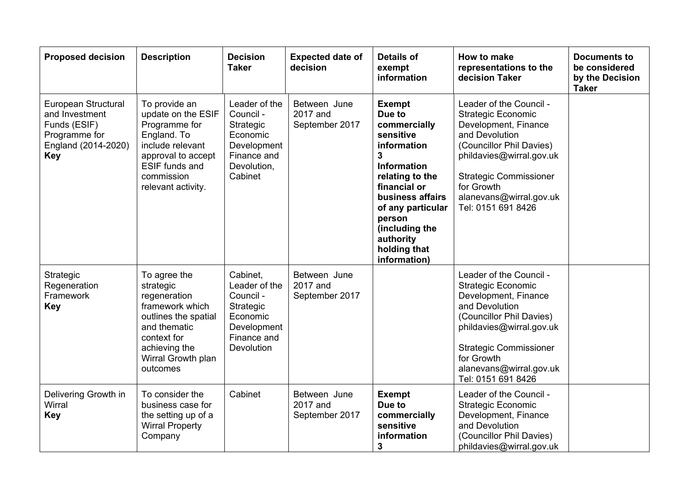| <b>Proposed decision</b>                                                                                    | <b>Description</b>                                                                                                                                                         | <b>Decision</b><br><b>Taker</b>                                                                             | <b>Expected date of</b><br>decision        | <b>Details of</b><br>exempt<br>information                                                                                                                                                                                                          | How to make<br>representations to the<br>decision Taker                                                                                                                                                                                                | <b>Documents to</b><br>be considered<br>by the Decision<br><b>Taker</b> |
|-------------------------------------------------------------------------------------------------------------|----------------------------------------------------------------------------------------------------------------------------------------------------------------------------|-------------------------------------------------------------------------------------------------------------|--------------------------------------------|-----------------------------------------------------------------------------------------------------------------------------------------------------------------------------------------------------------------------------------------------------|--------------------------------------------------------------------------------------------------------------------------------------------------------------------------------------------------------------------------------------------------------|-------------------------------------------------------------------------|
| European Structural<br>and Investment<br>Funds (ESIF)<br>Programme for<br>England (2014-2020)<br><b>Key</b> | To provide an<br>update on the ESIF<br>Programme for<br>England. To<br>include relevant<br>approval to accept<br><b>ESIF funds and</b><br>commission<br>relevant activity. | Leader of the<br>Council -<br>Strategic<br>Economic<br>Development<br>Finance and<br>Devolution,<br>Cabinet | Between June<br>2017 and<br>September 2017 | <b>Exempt</b><br>Due to<br>commercially<br>sensitive<br>information<br>3<br><b>Information</b><br>relating to the<br>financial or<br>business affairs<br>of any particular<br>person<br>(including the<br>authority<br>holding that<br>information) | Leader of the Council -<br><b>Strategic Economic</b><br>Development, Finance<br>and Devolution<br>(Councillor Phil Davies)<br>phildavies@wirral.gov.uk<br><b>Strategic Commissioner</b><br>for Growth<br>alanevans@wirral.gov.uk<br>Tel: 0151 691 8426 |                                                                         |
| Strategic<br>Regeneration<br>Framework<br><b>Key</b>                                                        | To agree the<br>strategic<br>regeneration<br>framework which<br>outlines the spatial<br>and thematic<br>context for<br>achieving the<br>Wirral Growth plan<br>outcomes     | Cabinet,<br>Leader of the<br>Council -<br>Strategic<br>Economic<br>Development<br>Finance and<br>Devolution | Between June<br>2017 and<br>September 2017 |                                                                                                                                                                                                                                                     | Leader of the Council -<br><b>Strategic Economic</b><br>Development, Finance<br>and Devolution<br>(Councillor Phil Davies)<br>phildavies@wirral.gov.uk<br><b>Strategic Commissioner</b><br>for Growth<br>alanevans@wirral.gov.uk<br>Tel: 0151 691 8426 |                                                                         |
| Delivering Growth in<br>Wirral<br><b>Key</b>                                                                | To consider the<br>business case for<br>the setting up of a<br><b>Wirral Property</b><br>Company                                                                           | Cabinet                                                                                                     | Between June<br>2017 and<br>September 2017 | <b>Exempt</b><br>Due to<br>commercially<br>sensitive<br>information<br>3                                                                                                                                                                            | Leader of the Council -<br><b>Strategic Economic</b><br>Development, Finance<br>and Devolution<br>(Councillor Phil Davies)<br>phildavies@wirral.gov.uk                                                                                                 |                                                                         |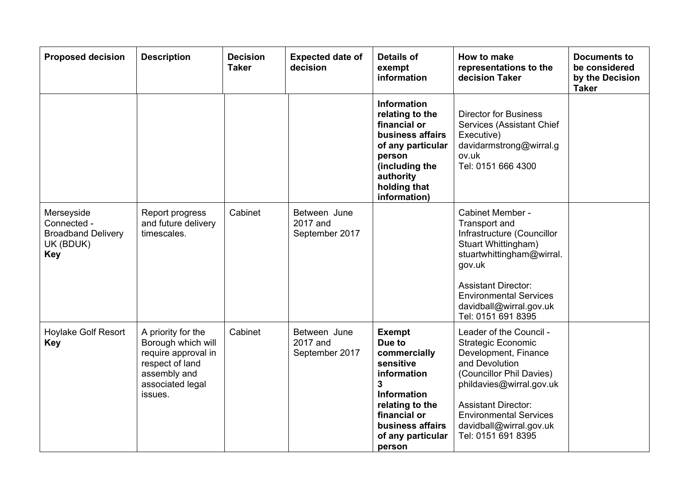| <b>Proposed decision</b>                                                          | <b>Description</b>                                                                                                                | <b>Decision</b><br><b>Taker</b> | <b>Expected date of</b><br>decision        | <b>Details of</b><br>exempt<br>information                                                                                                                                               | How to make<br>representations to the<br>decision Taker                                                                                                                                                                                                                | <b>Documents to</b><br>be considered<br>by the Decision<br><b>Taker</b> |
|-----------------------------------------------------------------------------------|-----------------------------------------------------------------------------------------------------------------------------------|---------------------------------|--------------------------------------------|------------------------------------------------------------------------------------------------------------------------------------------------------------------------------------------|------------------------------------------------------------------------------------------------------------------------------------------------------------------------------------------------------------------------------------------------------------------------|-------------------------------------------------------------------------|
|                                                                                   |                                                                                                                                   |                                 |                                            | <b>Information</b><br>relating to the<br>financial or<br>business affairs<br>of any particular<br>person<br>(including the<br>authority<br>holding that<br>information)                  | <b>Director for Business</b><br>Services (Assistant Chief<br>Executive)<br>davidarmstrong@wirral.g<br>ov.uk<br>Tel: 0151 666 4300                                                                                                                                      |                                                                         |
| Merseyside<br>Connected -<br><b>Broadband Delivery</b><br>UK (BDUK)<br><b>Key</b> | Report progress<br>and future delivery<br>timescales.                                                                             | Cabinet                         | Between June<br>2017 and<br>September 2017 |                                                                                                                                                                                          | Cabinet Member -<br>Transport and<br>Infrastructure (Councillor<br>Stuart Whittingham)<br>stuartwhittingham@wirral.<br>gov.uk<br><b>Assistant Director:</b><br><b>Environmental Services</b><br>davidball@wirral.gov.uk<br>Tel: 0151 691 8395                          |                                                                         |
| <b>Hoylake Golf Resort</b><br><b>Key</b>                                          | A priority for the<br>Borough which will<br>require approval in<br>respect of land<br>assembly and<br>associated legal<br>issues. | Cabinet                         | Between June<br>2017 and<br>September 2017 | <b>Exempt</b><br>Due to<br>commercially<br>sensitive<br>information<br>$\mathbf{3}$<br>Information<br>relating to the<br>financial or<br>business affairs<br>of any particular<br>person | Leader of the Council -<br><b>Strategic Economic</b><br>Development, Finance<br>and Devolution<br>(Councillor Phil Davies)<br>phildavies@wirral.gov.uk<br><b>Assistant Director:</b><br><b>Environmental Services</b><br>davidball@wirral.gov.uk<br>Tel: 0151 691 8395 |                                                                         |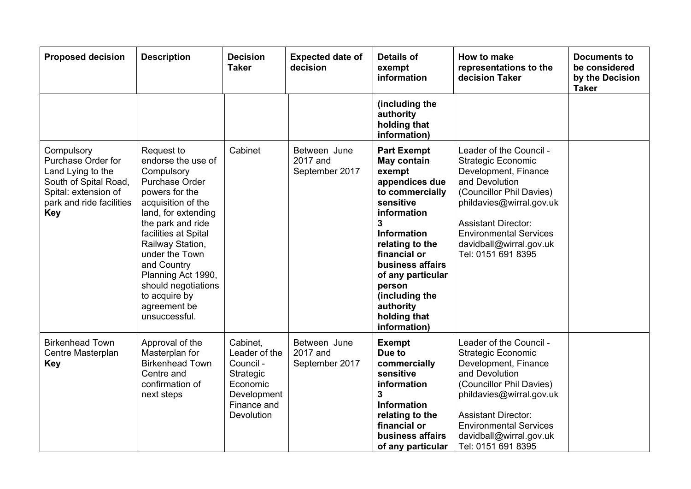| <b>Proposed decision</b>                                                                                                                         | <b>Description</b>                                                                                                                                                                                                                                                                                                               | <b>Decision</b><br><b>Taker</b>                                                                             | <b>Expected date of</b><br>decision        | <b>Details of</b><br>exempt<br>information                                                                                                                                                                                                                                                   | How to make<br>representations to the<br>decision Taker                                                                                                                                                                                                                | <b>Documents to</b><br>be considered<br>by the Decision<br><b>Taker</b> |
|--------------------------------------------------------------------------------------------------------------------------------------------------|----------------------------------------------------------------------------------------------------------------------------------------------------------------------------------------------------------------------------------------------------------------------------------------------------------------------------------|-------------------------------------------------------------------------------------------------------------|--------------------------------------------|----------------------------------------------------------------------------------------------------------------------------------------------------------------------------------------------------------------------------------------------------------------------------------------------|------------------------------------------------------------------------------------------------------------------------------------------------------------------------------------------------------------------------------------------------------------------------|-------------------------------------------------------------------------|
|                                                                                                                                                  |                                                                                                                                                                                                                                                                                                                                  |                                                                                                             |                                            | (including the<br>authority<br>holding that<br>information)                                                                                                                                                                                                                                  |                                                                                                                                                                                                                                                                        |                                                                         |
| Compulsory<br>Purchase Order for<br>Land Lying to the<br>South of Spital Road,<br>Spital: extension of<br>park and ride facilities<br><b>Key</b> | Request to<br>endorse the use of<br>Compulsory<br>Purchase Order<br>powers for the<br>acquisition of the<br>land, for extending<br>the park and ride<br>facilities at Spital<br>Railway Station,<br>under the Town<br>and Country<br>Planning Act 1990,<br>should negotiations<br>to acquire by<br>agreement be<br>unsuccessful. | Cabinet                                                                                                     | Between June<br>2017 and<br>September 2017 | <b>Part Exempt</b><br>May contain<br>exempt<br>appendices due<br>to commercially<br>sensitive<br>information<br>3<br><b>Information</b><br>relating to the<br>financial or<br>business affairs<br>of any particular<br>person<br>(including the<br>authority<br>holding that<br>information) | Leader of the Council -<br><b>Strategic Economic</b><br>Development, Finance<br>and Devolution<br>(Councillor Phil Davies)<br>phildavies@wirral.gov.uk<br><b>Assistant Director:</b><br><b>Environmental Services</b><br>davidball@wirral.gov.uk<br>Tel: 0151 691 8395 |                                                                         |
| <b>Birkenhead Town</b><br>Centre Masterplan<br><b>Key</b>                                                                                        | Approval of the<br>Masterplan for<br><b>Birkenhead Town</b><br>Centre and<br>confirmation of<br>next steps                                                                                                                                                                                                                       | Cabinet.<br>Leader of the<br>Council -<br>Strategic<br>Economic<br>Development<br>Finance and<br>Devolution | Between June<br>2017 and<br>September 2017 | <b>Exempt</b><br>Due to<br>commercially<br>sensitive<br>information<br>3<br><b>Information</b><br>relating to the<br>financial or<br>business affairs<br>of any particular                                                                                                                   | Leader of the Council -<br><b>Strategic Economic</b><br>Development, Finance<br>and Devolution<br>(Councillor Phil Davies)<br>phildavies@wirral.gov.uk<br><b>Assistant Director:</b><br><b>Environmental Services</b><br>davidball@wirral.gov.uk<br>Tel: 0151 691 8395 |                                                                         |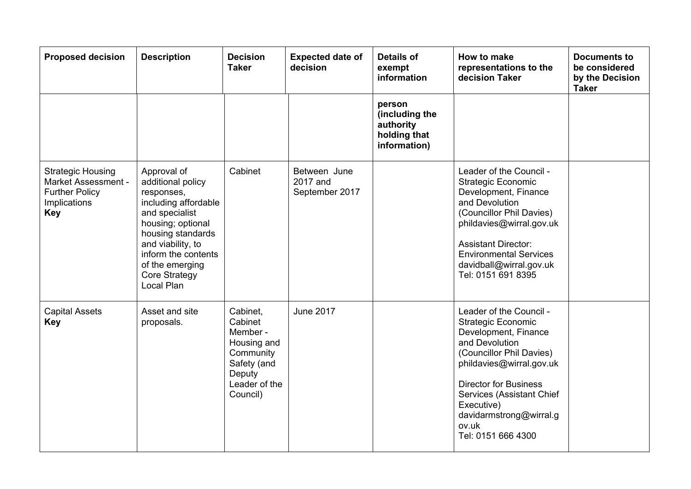| <b>Proposed decision</b>                                                                                      | <b>Description</b>                                                                                                                                                                                                                      | <b>Decision</b><br><b>Taker</b>                                                                                   | <b>Expected date of</b><br>decision        | <b>Details of</b><br>exempt<br>information                            | How to make<br>representations to the<br>decision Taker                                                                                                                                                                                                                                     | <b>Documents to</b><br>be considered<br>by the Decision<br><b>Taker</b> |
|---------------------------------------------------------------------------------------------------------------|-----------------------------------------------------------------------------------------------------------------------------------------------------------------------------------------------------------------------------------------|-------------------------------------------------------------------------------------------------------------------|--------------------------------------------|-----------------------------------------------------------------------|---------------------------------------------------------------------------------------------------------------------------------------------------------------------------------------------------------------------------------------------------------------------------------------------|-------------------------------------------------------------------------|
|                                                                                                               |                                                                                                                                                                                                                                         |                                                                                                                   |                                            | person<br>(including the<br>authority<br>holding that<br>information) |                                                                                                                                                                                                                                                                                             |                                                                         |
| <b>Strategic Housing</b><br><b>Market Assessment -</b><br><b>Further Policy</b><br>Implications<br><b>Key</b> | Approval of<br>additional policy<br>responses,<br>including affordable<br>and specialist<br>housing; optional<br>housing standards<br>and viability, to<br>inform the contents<br>of the emerging<br><b>Core Strategy</b><br>Local Plan | Cabinet                                                                                                           | Between June<br>2017 and<br>September 2017 |                                                                       | Leader of the Council -<br><b>Strategic Economic</b><br>Development, Finance<br>and Devolution<br>(Councillor Phil Davies)<br>phildavies@wirral.gov.uk<br><b>Assistant Director:</b><br><b>Environmental Services</b><br>davidball@wirral.gov.uk<br>Tel: 0151 691 8395                      |                                                                         |
| <b>Capital Assets</b><br><b>Key</b>                                                                           | Asset and site<br>proposals.                                                                                                                                                                                                            | Cabinet,<br>Cabinet<br>Member -<br>Housing and<br>Community<br>Safety (and<br>Deputy<br>Leader of the<br>Council) | <b>June 2017</b>                           |                                                                       | Leader of the Council -<br><b>Strategic Economic</b><br>Development, Finance<br>and Devolution<br>(Councillor Phil Davies)<br>phildavies@wirral.gov.uk<br><b>Director for Business</b><br>Services (Assistant Chief<br>Executive)<br>davidarmstrong@wirral.g<br>ov.uk<br>Tel: 0151 666 4300 |                                                                         |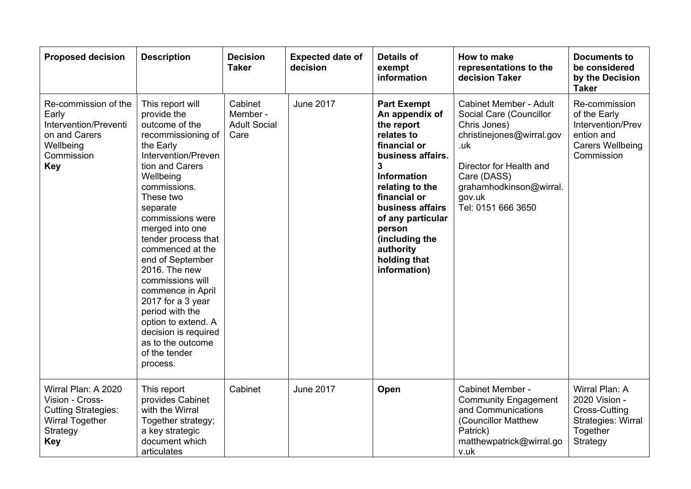| <b>Proposed decision</b>                                                                                                 | <b>Description</b>                                                                                                                                                                                                                                                                                                                                                                                                                                                                            | <b>Decision</b><br><b>Taker</b>                    | <b>Expected date of</b><br>decision | <b>Details of</b><br>exempt<br>information                                                                                                                                                                                                                                            | How to make<br>representations to the<br>decision Taker                                                                                                                                                           | <b>Documents to</b><br>be considered<br>by the Decision<br><b>Taker</b>                                   |
|--------------------------------------------------------------------------------------------------------------------------|-----------------------------------------------------------------------------------------------------------------------------------------------------------------------------------------------------------------------------------------------------------------------------------------------------------------------------------------------------------------------------------------------------------------------------------------------------------------------------------------------|----------------------------------------------------|-------------------------------------|---------------------------------------------------------------------------------------------------------------------------------------------------------------------------------------------------------------------------------------------------------------------------------------|-------------------------------------------------------------------------------------------------------------------------------------------------------------------------------------------------------------------|-----------------------------------------------------------------------------------------------------------|
| Re-commission of the<br>Early<br>Intervention/Preventi<br>on and Carers<br>Wellbeing<br>Commission<br><b>Key</b>         | This report will<br>provide the<br>outcome of the<br>recommissioning of<br>the Early<br>Intervention/Preven<br>tion and Carers<br>Wellbeing<br>commissions.<br>These two<br>separate<br>commissions were<br>merged into one<br>tender process that<br>commenced at the<br>end of September<br>2016. The new<br>commissions will<br>commence in April<br>2017 for a 3 year<br>period with the<br>option to extend. A<br>decision is required<br>as to the outcome<br>of the tender<br>process. | Cabinet<br>Member -<br><b>Adult Social</b><br>Care | <b>June 2017</b>                    | <b>Part Exempt</b><br>An appendix of<br>the report<br>relates to<br>financial or<br>business affairs.<br>3<br><b>Information</b><br>relating to the<br>financial or<br>business affairs<br>of any particular<br>person<br>(including the<br>authority<br>holding that<br>information) | <b>Cabinet Member - Adult</b><br>Social Care (Councillor<br>Chris Jones)<br>christinejones@wirral.gov<br>.uk<br>Director for Health and<br>Care (DASS)<br>grahamhodkinson@wirral.<br>gov.uk<br>Tel: 0151 666 3650 | Re-commission<br>of the Early<br>Intervention/Prev<br>ention and<br><b>Carers Wellbeing</b><br>Commission |
| Wirral Plan: A 2020<br>Vision - Cross-<br><b>Cutting Strategies:</b><br><b>Wirral Together</b><br>Strategy<br><b>Key</b> | This report<br>provides Cabinet<br>with the Wirral<br>Together strategy;<br>a key strategic<br>document which<br>articulates                                                                                                                                                                                                                                                                                                                                                                  | Cabinet                                            | <b>June 2017</b>                    | Open                                                                                                                                                                                                                                                                                  | Cabinet Member -<br><b>Community Engagement</b><br>and Communications<br>(Councillor Matthew<br>Patrick)<br>matthewpatrick@wirral.go<br>v.uk                                                                      | Wirral Plan: A<br>2020 Vision -<br><b>Cross-Cutting</b><br>Strategies: Wirral<br>Together<br>Strategy     |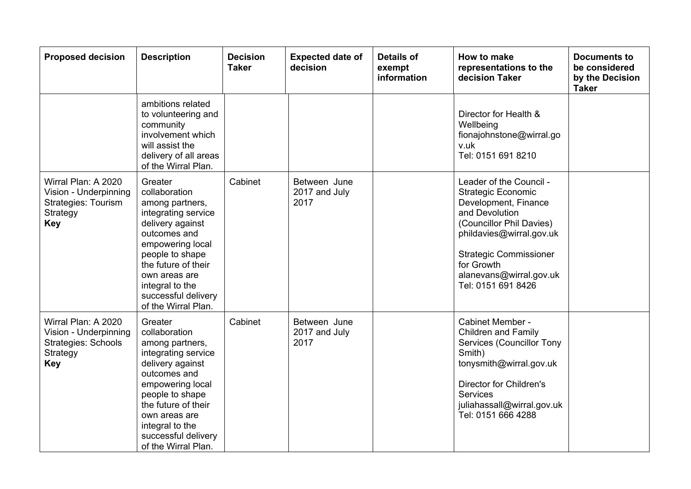| <b>Proposed decision</b>                                                                             | <b>Description</b>                                                                                                                                                                                                                                     | <b>Decision</b><br><b>Taker</b> | <b>Expected date of</b><br>decision   | <b>Details of</b><br>exempt<br>information | How to make<br>representations to the<br>decision Taker                                                                                                                                                                                                | <b>Documents to</b><br>be considered<br>by the Decision<br><b>Taker</b> |
|------------------------------------------------------------------------------------------------------|--------------------------------------------------------------------------------------------------------------------------------------------------------------------------------------------------------------------------------------------------------|---------------------------------|---------------------------------------|--------------------------------------------|--------------------------------------------------------------------------------------------------------------------------------------------------------------------------------------------------------------------------------------------------------|-------------------------------------------------------------------------|
|                                                                                                      | ambitions related<br>to volunteering and<br>community<br>involvement which<br>will assist the<br>delivery of all areas<br>of the Wirral Plan.                                                                                                          |                                 |                                       |                                            | Director for Health &<br>Wellbeing<br>fionajohnstone@wirral.go<br>v.uk<br>Tel: 0151 691 8210                                                                                                                                                           |                                                                         |
| Wirral Plan: A 2020<br>Vision - Underpinning<br>Strategies: Tourism<br>Strategy<br><b>Key</b>        | Greater<br>collaboration<br>among partners,<br>integrating service<br>delivery against<br>outcomes and<br>empowering local<br>people to shape<br>the future of their<br>own areas are<br>integral to the<br>successful delivery<br>of the Wirral Plan. | Cabinet                         | Between June<br>2017 and July<br>2017 |                                            | Leader of the Council -<br><b>Strategic Economic</b><br>Development, Finance<br>and Devolution<br>(Councillor Phil Davies)<br>phildavies@wirral.gov.uk<br><b>Strategic Commissioner</b><br>for Growth<br>alanevans@wirral.gov.uk<br>Tel: 0151 691 8426 |                                                                         |
| Wirral Plan: A 2020<br>Vision - Underpinning<br><b>Strategies: Schools</b><br>Strategy<br><b>Key</b> | Greater<br>collaboration<br>among partners,<br>integrating service<br>delivery against<br>outcomes and<br>empowering local<br>people to shape<br>the future of their<br>own areas are<br>integral to the<br>successful delivery<br>of the Wirral Plan. | Cabinet                         | Between June<br>2017 and July<br>2017 |                                            | Cabinet Member -<br><b>Children and Family</b><br>Services (Councillor Tony<br>Smith)<br>tonysmith@wirral.gov.uk<br><b>Director for Children's</b><br><b>Services</b><br>juliahassall@wirral.gov.uk<br>Tel: 0151 666 4288                              |                                                                         |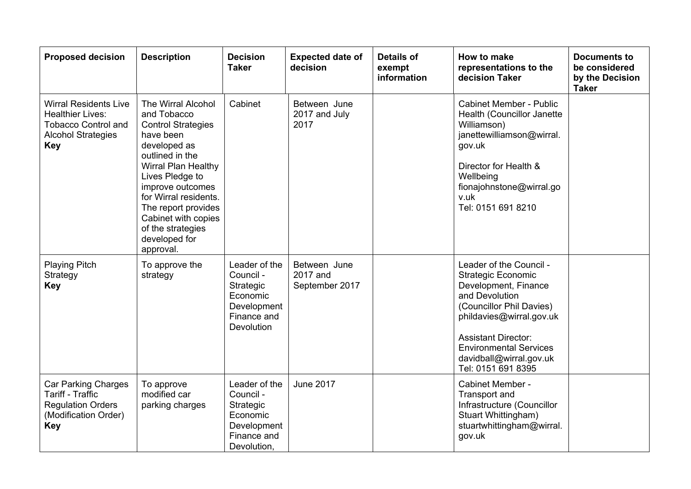| <b>Proposed decision</b>                                                                                                         | <b>Description</b>                                                                                                                                                                                                                                                                                            | <b>Decision</b><br><b>Taker</b>                                                                  | <b>Expected date of</b><br>decision        | <b>Details of</b><br>exempt<br>information | How to make<br>representations to the<br>decision Taker                                                                                                                                                                                                                | <b>Documents to</b><br>be considered<br>by the Decision<br><b>Taker</b> |
|----------------------------------------------------------------------------------------------------------------------------------|---------------------------------------------------------------------------------------------------------------------------------------------------------------------------------------------------------------------------------------------------------------------------------------------------------------|--------------------------------------------------------------------------------------------------|--------------------------------------------|--------------------------------------------|------------------------------------------------------------------------------------------------------------------------------------------------------------------------------------------------------------------------------------------------------------------------|-------------------------------------------------------------------------|
| <b>Wirral Residents Live</b><br><b>Healthier Lives:</b><br><b>Tobacco Control and</b><br><b>Alcohol Strategies</b><br><b>Key</b> | The Wirral Alcohol<br>and Tobacco<br><b>Control Strategies</b><br>have been<br>developed as<br>outlined in the<br><b>Wirral Plan Healthy</b><br>Lives Pledge to<br>improve outcomes<br>for Wirral residents.<br>The report provides<br>Cabinet with copies<br>of the strategies<br>developed for<br>approval. | Cabinet                                                                                          | Between June<br>2017 and July<br>2017      |                                            | <b>Cabinet Member - Public</b><br>Health (Councillor Janette<br>Williamson)<br>janettewilliamson@wirral.<br>gov.uk<br>Director for Health &<br>Wellbeing<br>fionajohnstone@wirral.go<br>v.uk<br>Tel: 0151 691 8210                                                     |                                                                         |
| <b>Playing Pitch</b><br>Strategy<br><b>Key</b>                                                                                   | To approve the<br>strategy                                                                                                                                                                                                                                                                                    | Leader of the<br>Council -<br>Strategic<br>Economic<br>Development<br>Finance and<br>Devolution  | Between June<br>2017 and<br>September 2017 |                                            | Leader of the Council -<br><b>Strategic Economic</b><br>Development, Finance<br>and Devolution<br>(Councillor Phil Davies)<br>phildavies@wirral.gov.uk<br><b>Assistant Director:</b><br><b>Environmental Services</b><br>davidball@wirral.gov.uk<br>Tel: 0151 691 8395 |                                                                         |
| <b>Car Parking Charges</b><br><b>Tariff - Traffic</b><br><b>Regulation Orders</b><br>(Modification Order)<br><b>Key</b>          | To approve<br>modified car<br>parking charges                                                                                                                                                                                                                                                                 | Leader of the<br>Council -<br>Strategic<br>Economic<br>Development<br>Finance and<br>Devolution, | <b>June 2017</b>                           |                                            | Cabinet Member -<br>Transport and<br>Infrastructure (Councillor<br>Stuart Whittingham)<br>stuartwhittingham@wirral.<br>gov.uk                                                                                                                                          |                                                                         |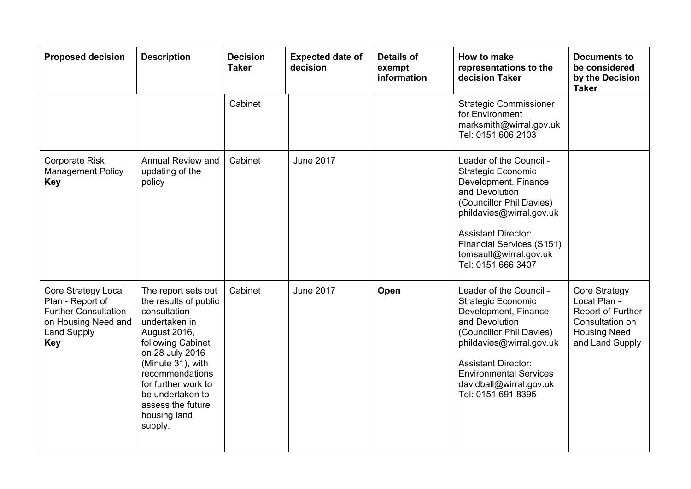| <b>Proposed decision</b>                                                                                                                 | <b>Description</b>                                                                                                                                                                                                                                                       | <b>Decision</b><br><b>Taker</b> | <b>Expected date of</b><br>decision | <b>Details of</b><br>exempt<br>information | <b>How to make</b><br>representations to the<br>decision Taker                                                                                                                                                                                                           | <b>Documents to</b><br>be considered<br>by the Decision<br><b>Taker</b>                                         |
|------------------------------------------------------------------------------------------------------------------------------------------|--------------------------------------------------------------------------------------------------------------------------------------------------------------------------------------------------------------------------------------------------------------------------|---------------------------------|-------------------------------------|--------------------------------------------|--------------------------------------------------------------------------------------------------------------------------------------------------------------------------------------------------------------------------------------------------------------------------|-----------------------------------------------------------------------------------------------------------------|
|                                                                                                                                          |                                                                                                                                                                                                                                                                          | Cabinet                         |                                     |                                            | <b>Strategic Commissioner</b><br>for Environment<br>marksmith@wirral.gov.uk<br>Tel: 0151 606 2103                                                                                                                                                                        |                                                                                                                 |
| <b>Corporate Risk</b><br><b>Management Policy</b><br><b>Key</b>                                                                          | Annual Review and<br>updating of the<br>policy                                                                                                                                                                                                                           | Cabinet                         | <b>June 2017</b>                    |                                            | Leader of the Council -<br><b>Strategic Economic</b><br>Development, Finance<br>and Devolution<br>(Councillor Phil Davies)<br>phildavies@wirral.gov.uk<br><b>Assistant Director:</b><br><b>Financial Services (S151)</b><br>tomsault@wirral.gov.uk<br>Tel: 0151 666 3407 |                                                                                                                 |
| <b>Core Strategy Local</b><br>Plan - Report of<br><b>Further Consultation</b><br>on Housing Need and<br><b>Land Supply</b><br><b>Key</b> | The report sets out<br>the results of public<br>consultation<br>undertaken in<br>August 2016,<br>following Cabinet<br>on 28 July 2016<br>(Minute 31), with<br>recommendations<br>for further work to<br>be undertaken to<br>assess the future<br>housing land<br>supply. | Cabinet                         | <b>June 2017</b>                    | Open                                       | Leader of the Council -<br><b>Strategic Economic</b><br>Development, Finance<br>and Devolution<br>(Councillor Phil Davies)<br>phildavies@wirral.gov.uk<br><b>Assistant Director:</b><br><b>Environmental Services</b><br>davidball@wirral.gov.uk<br>Tel: 0151 691 8395   | Core Strategy<br>Local Plan -<br>Report of Further<br>Consultation on<br><b>Housing Need</b><br>and Land Supply |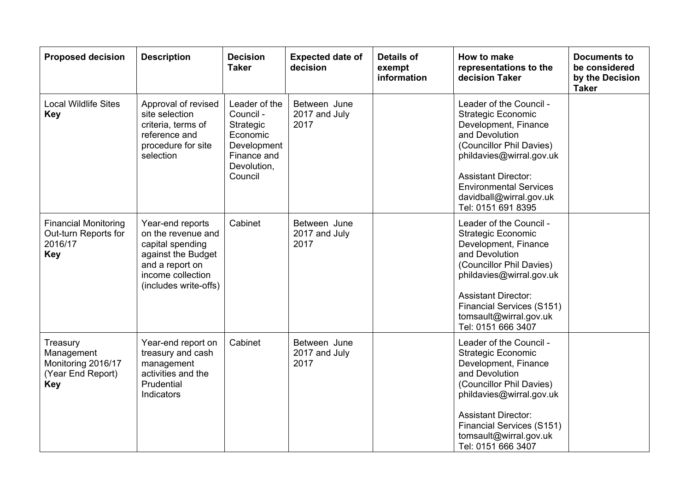| <b>Proposed decision</b>                                                        | <b>Description</b>                                                                                                                                | <b>Decision</b><br><b>Taker</b>                                                                             | <b>Expected date of</b><br>decision   | <b>Details of</b><br>exempt<br>information | How to make<br>representations to the<br>decision Taker                                                                                                                                                                                                                  | <b>Documents to</b><br>be considered<br>by the Decision<br><b>Taker</b> |
|---------------------------------------------------------------------------------|---------------------------------------------------------------------------------------------------------------------------------------------------|-------------------------------------------------------------------------------------------------------------|---------------------------------------|--------------------------------------------|--------------------------------------------------------------------------------------------------------------------------------------------------------------------------------------------------------------------------------------------------------------------------|-------------------------------------------------------------------------|
| <b>Local Wildlife Sites</b><br><b>Key</b>                                       | Approval of revised<br>site selection<br>criteria, terms of<br>reference and<br>procedure for site<br>selection                                   | Leader of the<br>Council -<br>Strategic<br>Economic<br>Development<br>Finance and<br>Devolution,<br>Council | Between June<br>2017 and July<br>2017 |                                            | Leader of the Council -<br><b>Strategic Economic</b><br>Development, Finance<br>and Devolution<br>(Councillor Phil Davies)<br>phildavies@wirral.gov.uk<br><b>Assistant Director:</b><br><b>Environmental Services</b><br>davidball@wirral.gov.uk<br>Tel: 0151 691 8395   |                                                                         |
| <b>Financial Monitoring</b><br>Out-turn Reports for<br>2016/17<br><b>Key</b>    | Year-end reports<br>on the revenue and<br>capital spending<br>against the Budget<br>and a report on<br>income collection<br>(includes write-offs) | Cabinet                                                                                                     | Between June<br>2017 and July<br>2017 |                                            | Leader of the Council -<br><b>Strategic Economic</b><br>Development, Finance<br>and Devolution<br>(Councillor Phil Davies)<br>phildavies@wirral.gov.uk<br><b>Assistant Director:</b><br>Financial Services (S151)<br>tomsault@wirral.gov.uk<br>Tel: 0151 666 3407        |                                                                         |
| Treasury<br>Management<br>Monitoring 2016/17<br>(Year End Report)<br><b>Key</b> | Year-end report on<br>treasury and cash<br>management<br>activities and the<br>Prudential<br>Indicators                                           | Cabinet                                                                                                     | Between June<br>2017 and July<br>2017 |                                            | Leader of the Council -<br><b>Strategic Economic</b><br>Development, Finance<br>and Devolution<br>(Councillor Phil Davies)<br>phildavies@wirral.gov.uk<br><b>Assistant Director:</b><br><b>Financial Services (S151)</b><br>tomsault@wirral.gov.uk<br>Tel: 0151 666 3407 |                                                                         |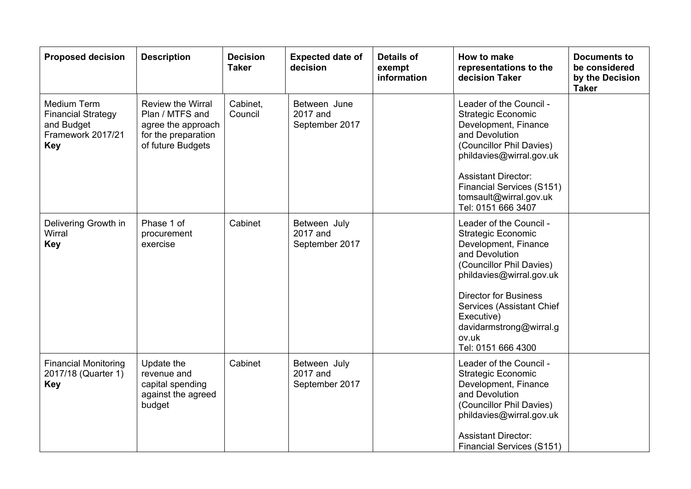| <b>Proposed decision</b>                                                                         | <b>Description</b>                                                                                     | <b>Decision</b><br><b>Taker</b> | <b>Expected date of</b><br>decision        | <b>Details of</b><br>exempt<br>information | How to make<br>representations to the<br>decision Taker                                                                                                                                                                                                                                     | <b>Documents to</b><br>be considered<br>by the Decision<br><b>Taker</b> |
|--------------------------------------------------------------------------------------------------|--------------------------------------------------------------------------------------------------------|---------------------------------|--------------------------------------------|--------------------------------------------|---------------------------------------------------------------------------------------------------------------------------------------------------------------------------------------------------------------------------------------------------------------------------------------------|-------------------------------------------------------------------------|
| <b>Medium Term</b><br><b>Financial Strategy</b><br>and Budget<br>Framework 2017/21<br><b>Key</b> | Review the Wirral<br>Plan / MTFS and<br>agree the approach<br>for the preparation<br>of future Budgets | Cabinet,<br>Council             | Between June<br>2017 and<br>September 2017 |                                            | Leader of the Council -<br>Strategic Economic<br>Development, Finance<br>and Devolution<br>(Councillor Phil Davies)<br>phildavies@wirral.gov.uk<br><b>Assistant Director:</b><br><b>Financial Services (S151)</b><br>tomsault@wirral.gov.uk<br>Tel: 0151 666 3407                           |                                                                         |
| Delivering Growth in<br>Wirral<br><b>Key</b>                                                     | Phase 1 of<br>procurement<br>exercise                                                                  | Cabinet                         | Between July<br>2017 and<br>September 2017 |                                            | Leader of the Council -<br><b>Strategic Economic</b><br>Development, Finance<br>and Devolution<br>(Councillor Phil Davies)<br>phildavies@wirral.gov.uk<br><b>Director for Business</b><br>Services (Assistant Chief<br>Executive)<br>davidarmstrong@wirral.g<br>ov.uk<br>Tel: 0151 666 4300 |                                                                         |
| <b>Financial Monitoring</b><br>2017/18 (Quarter 1)<br><b>Key</b>                                 | Update the<br>revenue and<br>capital spending<br>against the agreed<br>budget                          | Cabinet                         | Between July<br>2017 and<br>September 2017 |                                            | Leader of the Council -<br><b>Strategic Economic</b><br>Development, Finance<br>and Devolution<br>(Councillor Phil Davies)<br>phildavies@wirral.gov.uk<br><b>Assistant Director:</b><br><b>Financial Services (S151)</b>                                                                    |                                                                         |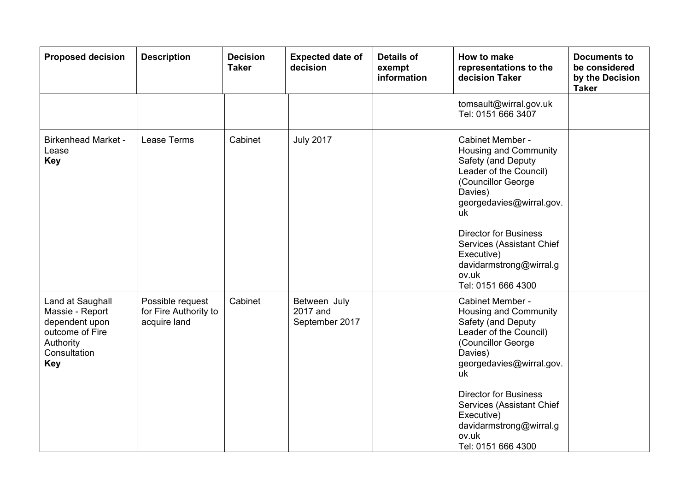| <b>Proposed decision</b>                                                                                            | <b>Description</b>                                        | <b>Decision</b><br><b>Taker</b> | <b>Expected date of</b><br>decision        | <b>Details of</b><br>exempt<br>information | How to make<br>representations to the<br>decision Taker                                                                                                                                                                                                                                                  | <b>Documents to</b><br>be considered<br>by the Decision<br><b>Taker</b> |
|---------------------------------------------------------------------------------------------------------------------|-----------------------------------------------------------|---------------------------------|--------------------------------------------|--------------------------------------------|----------------------------------------------------------------------------------------------------------------------------------------------------------------------------------------------------------------------------------------------------------------------------------------------------------|-------------------------------------------------------------------------|
|                                                                                                                     |                                                           |                                 |                                            |                                            | tomsault@wirral.gov.uk<br>Tel: 0151 666 3407                                                                                                                                                                                                                                                             |                                                                         |
| <b>Birkenhead Market -</b><br>Lease<br><b>Key</b>                                                                   | Lease Terms                                               | Cabinet                         | <b>July 2017</b>                           |                                            | <b>Cabinet Member -</b><br>Housing and Community<br>Safety (and Deputy<br>Leader of the Council)<br>(Councillor George<br>Davies)<br>georgedavies@wirral.gov.<br>uk<br><b>Director for Business</b><br>Services (Assistant Chief<br>Executive)<br>davidarmstrong@wirral.g<br>ov.uk<br>Tel: 0151 666 4300 |                                                                         |
| Land at Saughall<br>Massie - Report<br>dependent upon<br>outcome of Fire<br>Authority<br>Consultation<br><b>Key</b> | Possible request<br>for Fire Authority to<br>acquire land | Cabinet                         | Between July<br>2017 and<br>September 2017 |                                            | Cabinet Member -<br>Housing and Community<br>Safety (and Deputy<br>Leader of the Council)<br>(Councillor George<br>Davies)<br>georgedavies@wirral.gov.<br>uk<br><b>Director for Business</b><br>Services (Assistant Chief<br>Executive)<br>davidarmstrong@wirral.g<br>ov.uk<br>Tel: 0151 666 4300        |                                                                         |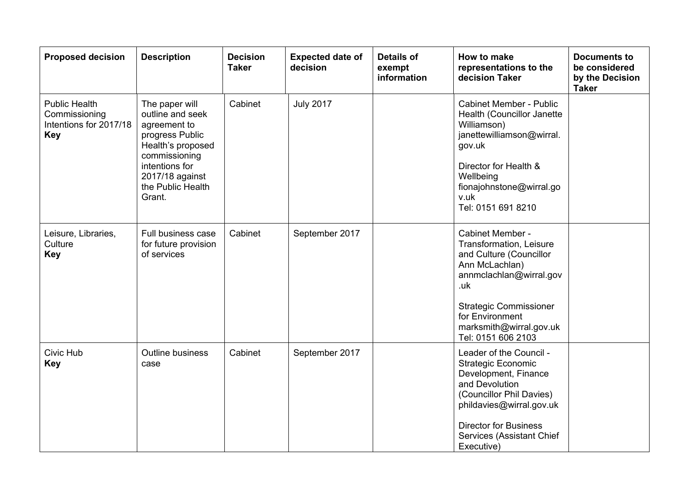| <b>Proposed decision</b>                                                      | <b>Description</b>                                                                                                                                                              | <b>Decision</b><br><b>Taker</b> | <b>Expected date of</b><br>decision | <b>Details of</b><br>exempt<br>information | <b>How to make</b><br>representations to the<br>decision Taker                                                                                                                                                                    | <b>Documents to</b><br>be considered<br>by the Decision<br><b>Taker</b> |
|-------------------------------------------------------------------------------|---------------------------------------------------------------------------------------------------------------------------------------------------------------------------------|---------------------------------|-------------------------------------|--------------------------------------------|-----------------------------------------------------------------------------------------------------------------------------------------------------------------------------------------------------------------------------------|-------------------------------------------------------------------------|
| <b>Public Health</b><br>Commissioning<br>Intentions for 2017/18<br><b>Key</b> | The paper will<br>outline and seek<br>agreement to<br>progress Public<br>Health's proposed<br>commissioning<br>intentions for<br>2017/18 against<br>the Public Health<br>Grant. | Cabinet                         | <b>July 2017</b>                    |                                            | <b>Cabinet Member - Public</b><br>Health (Councillor Janette<br>Williamson)<br>janettewilliamson@wirral.<br>gov.uk<br>Director for Health &<br>Wellbeing<br>fionajohnstone@wirral.go<br>v.uk<br>Tel: 0151 691 8210                |                                                                         |
| Leisure, Libraries,<br>Culture<br><b>Key</b>                                  | Full business case<br>for future provision<br>of services                                                                                                                       | Cabinet                         | September 2017                      |                                            | Cabinet Member -<br>Transformation, Leisure<br>and Culture (Councillor<br>Ann McLachlan)<br>annmclachlan@wirral.gov<br>.uk<br><b>Strategic Commissioner</b><br>for Environment<br>marksmith@wirral.gov.uk<br>Tel: 0151 606 2103   |                                                                         |
| Civic Hub<br><b>Key</b>                                                       | <b>Outline business</b><br>case                                                                                                                                                 | Cabinet                         | September 2017                      |                                            | Leader of the Council -<br><b>Strategic Economic</b><br>Development, Finance<br>and Devolution<br>(Councillor Phil Davies)<br>phildavies@wirral.gov.uk<br><b>Director for Business</b><br>Services (Assistant Chief<br>Executive) |                                                                         |